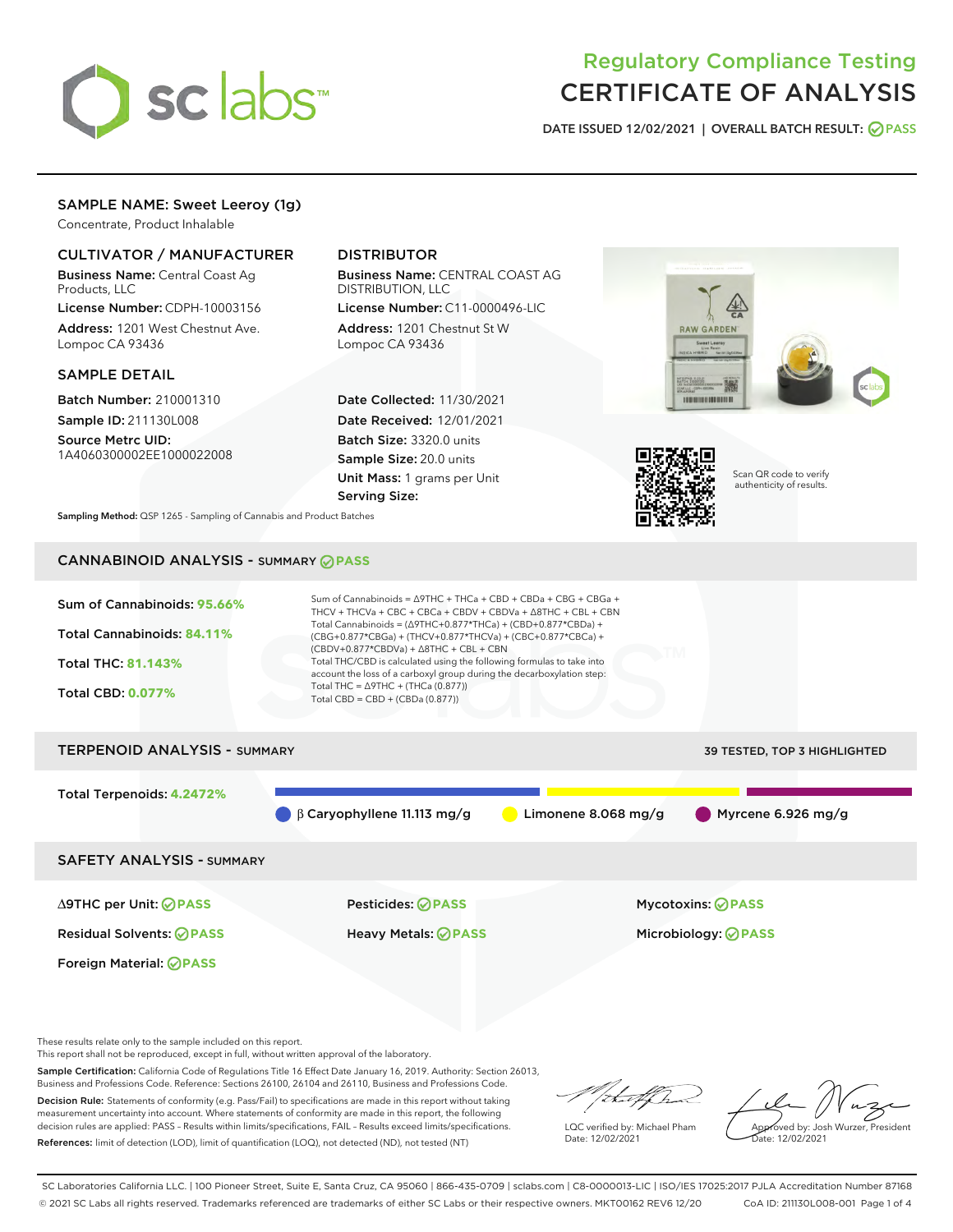

# Regulatory Compliance Testing CERTIFICATE OF ANALYSIS

DATE ISSUED 12/02/2021 | OVERALL BATCH RESULT: @ PASS

## SAMPLE NAME: Sweet Leeroy (1g)

Concentrate, Product Inhalable

## CULTIVATOR / MANUFACTURER

Business Name: Central Coast Ag Products, LLC

License Number: CDPH-10003156 Address: 1201 West Chestnut Ave. Lompoc CA 93436

#### SAMPLE DETAIL

Batch Number: 210001310 Sample ID: 211130L008

Source Metrc UID: 1A4060300002EE1000022008

## DISTRIBUTOR

Business Name: CENTRAL COAST AG DISTRIBUTION, LLC

License Number: C11-0000496-LIC Address: 1201 Chestnut St W Lompoc CA 93436

Date Collected: 11/30/2021 Date Received: 12/01/2021 Batch Size: 3320.0 units Sample Size: 20.0 units Unit Mass: 1 grams per Unit Serving Size:





Scan QR code to verify authenticity of results.

Sampling Method: QSP 1265 - Sampling of Cannabis and Product Batches

## CANNABINOID ANALYSIS - SUMMARY **PASS**



∆9THC per Unit: **PASS** Pesticides: **PASS** Mycotoxins: **PASS**

Foreign Material: **PASS**

Residual Solvents: **PASS** Heavy Metals: **PASS** Microbiology: **PASS**

These results relate only to the sample included on this report.

This report shall not be reproduced, except in full, without written approval of the laboratory.

Sample Certification: California Code of Regulations Title 16 Effect Date January 16, 2019. Authority: Section 26013, Business and Professions Code. Reference: Sections 26100, 26104 and 26110, Business and Professions Code. Decision Rule: Statements of conformity (e.g. Pass/Fail) to specifications are made in this report without taking

measurement uncertainty into account. Where statements of conformity are made in this report, the following decision rules are applied: PASS – Results within limits/specifications, FAIL – Results exceed limits/specifications. References: limit of detection (LOD), limit of quantification (LOQ), not detected (ND), not tested (NT)

that f(ha

LQC verified by: Michael Pham Date: 12/02/2021

Approved by: Josh Wurzer, President ate: 12/02/2021

SC Laboratories California LLC. | 100 Pioneer Street, Suite E, Santa Cruz, CA 95060 | 866-435-0709 | sclabs.com | C8-0000013-LIC | ISO/IES 17025:2017 PJLA Accreditation Number 87168 © 2021 SC Labs all rights reserved. Trademarks referenced are trademarks of either SC Labs or their respective owners. MKT00162 REV6 12/20 CoA ID: 211130L008-001 Page 1 of 4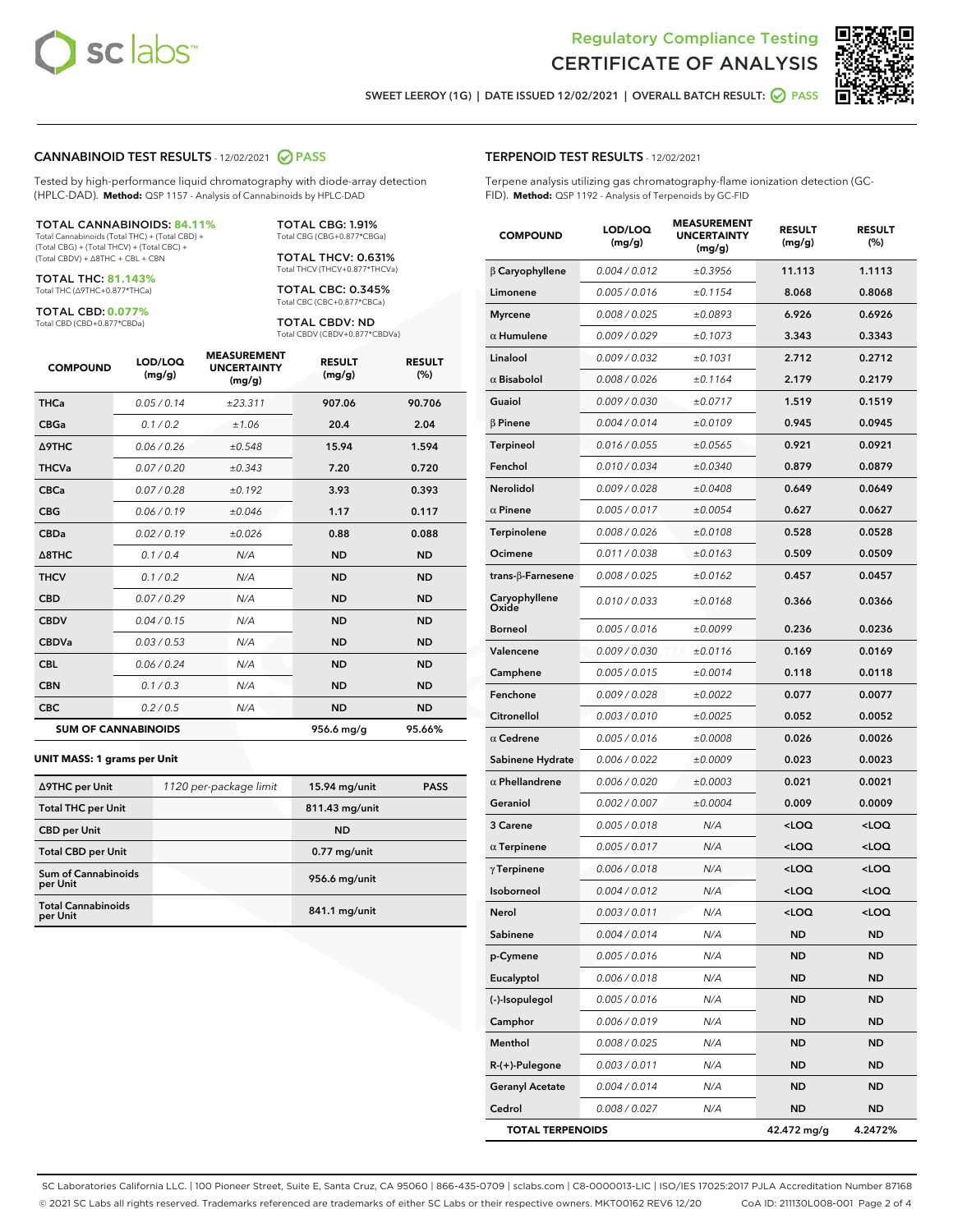



SWEET LEEROY (1G) | DATE ISSUED 12/02/2021 | OVERALL BATCH RESULT: @ PASS

#### CANNABINOID TEST RESULTS - 12/02/2021 2 PASS

Tested by high-performance liquid chromatography with diode-array detection (HPLC-DAD). **Method:** QSP 1157 - Analysis of Cannabinoids by HPLC-DAD

#### TOTAL CANNABINOIDS: **84.11%**

Total Cannabinoids (Total THC) + (Total CBD) + (Total CBG) + (Total THCV) + (Total CBC) + (Total CBDV) + ∆8THC + CBL + CBN

TOTAL THC: **81.143%** Total THC (∆9THC+0.877\*THCa)

TOTAL CBD: **0.077%**

Total CBD (CBD+0.877\*CBDa)

TOTAL CBG: 1.91% Total CBG (CBG+0.877\*CBGa)

TOTAL THCV: 0.631% Total THCV (THCV+0.877\*THCVa)

TOTAL CBC: 0.345% Total CBC (CBC+0.877\*CBCa)

TOTAL CBDV: ND Total CBDV (CBDV+0.877\*CBDVa)

| <b>COMPOUND</b>  | LOD/LOQ<br>(mg/g)          | <b>MEASUREMENT</b><br><b>UNCERTAINTY</b><br>(mg/g) | <b>RESULT</b><br>(mg/g) | <b>RESULT</b><br>(%) |
|------------------|----------------------------|----------------------------------------------------|-------------------------|----------------------|
| <b>THCa</b>      | 0.05/0.14                  | ±23.311                                            | 907.06                  | 90.706               |
| <b>CBGa</b>      | 0.1 / 0.2                  | ±1.06                                              | 20.4                    | 2.04                 |
| <b>A9THC</b>     | 0.06 / 0.26                | ±0.548                                             | 15.94                   | 1.594                |
| <b>THCVa</b>     | 0.07/0.20                  | ±0.343                                             | 7.20                    | 0.720                |
| <b>CBCa</b>      | 0.07 / 0.28                | ±0.192                                             | 3.93                    | 0.393                |
| <b>CBG</b>       | 0.06/0.19                  | ±0.046                                             | 1.17                    | 0.117                |
| <b>CBDa</b>      | 0.02/0.19                  | ±0.026                                             | 0.88                    | 0.088                |
| $\triangle$ 8THC | 0.1/0.4                    | N/A                                                | <b>ND</b>               | <b>ND</b>            |
| <b>THCV</b>      | 0.1 / 0.2                  | N/A                                                | <b>ND</b>               | <b>ND</b>            |
| <b>CBD</b>       | 0.07/0.29                  | N/A                                                | <b>ND</b>               | <b>ND</b>            |
| <b>CBDV</b>      | 0.04 / 0.15                | N/A                                                | <b>ND</b>               | <b>ND</b>            |
| <b>CBDVa</b>     | 0.03 / 0.53                | N/A                                                | <b>ND</b>               | <b>ND</b>            |
| <b>CBL</b>       | 0.06 / 0.24                | N/A                                                | <b>ND</b>               | <b>ND</b>            |
| <b>CBN</b>       | 0.1 / 0.3                  | N/A                                                | <b>ND</b>               | <b>ND</b>            |
| <b>CBC</b>       | 0.2 / 0.5                  | N/A                                                | <b>ND</b>               | <b>ND</b>            |
|                  | <b>SUM OF CANNABINOIDS</b> |                                                    | 956.6 mg/g              | 95.66%               |

#### **UNIT MASS: 1 grams per Unit**

| ∆9THC per Unit                        | 1120 per-package limit | $15.94$ mg/unit | <b>PASS</b> |
|---------------------------------------|------------------------|-----------------|-------------|
| <b>Total THC per Unit</b>             |                        | 811.43 mg/unit  |             |
| <b>CBD</b> per Unit                   |                        | <b>ND</b>       |             |
| <b>Total CBD per Unit</b>             |                        | $0.77$ mg/unit  |             |
| Sum of Cannabinoids<br>per Unit       |                        | 956.6 mg/unit   |             |
| <b>Total Cannabinoids</b><br>per Unit |                        | 841.1 mg/unit   |             |

#### TERPENOID TEST RESULTS - 12/02/2021

Terpene analysis utilizing gas chromatography-flame ionization detection (GC-FID). **Method:** QSP 1192 - Analysis of Terpenoids by GC-FID

| <b>COMPOUND</b>           | LOD/LOQ<br>(mg/g) | <b>MEASUREMENT</b><br><b>UNCERTAINTY</b><br>(mg/g) | <b>RESULT</b><br>(mg/g)                          | <b>RESULT</b><br>(%) |
|---------------------------|-------------------|----------------------------------------------------|--------------------------------------------------|----------------------|
| $\beta$ Caryophyllene     | 0.004 / 0.012     | ±0.3956                                            | 11.113                                           | 1.1113               |
| Limonene                  | 0.005 / 0.016     | ±0.1154                                            | 8.068                                            | 0.8068               |
| <b>Myrcene</b>            | 0.008 / 0.025     | ±0.0893                                            | 6.926                                            | 0.6926               |
| $\alpha$ Humulene         | 0.009/0.029       | ±0.1073                                            | 3.343                                            | 0.3343               |
| Linalool                  | 0.009 / 0.032     | ±0.1031                                            | 2.712                                            | 0.2712               |
| $\alpha$ Bisabolol        | 0.008 / 0.026     | ±0.1164                                            | 2.179                                            | 0.2179               |
| Guaiol                    | 0.009 / 0.030     | ±0.0717                                            | 1.519                                            | 0.1519               |
| $\beta$ Pinene            | 0.004 / 0.014     | ±0.0109                                            | 0.945                                            | 0.0945               |
| <b>Terpineol</b>          | 0.016 / 0.055     | ±0.0565                                            | 0.921                                            | 0.0921               |
| Fenchol                   | 0.010 / 0.034     | ±0.0340                                            | 0.879                                            | 0.0879               |
| Nerolidol                 | 0.009 / 0.028     | ±0.0408                                            | 0.649                                            | 0.0649               |
| $\alpha$ Pinene           | 0.005 / 0.017     | ±0.0054                                            | 0.627                                            | 0.0627               |
| <b>Terpinolene</b>        | 0.008 / 0.026     | ±0.0108                                            | 0.528                                            | 0.0528               |
| Ocimene                   | 0.011 / 0.038     | ±0.0163                                            | 0.509                                            | 0.0509               |
| trans- $\beta$ -Farnesene | 0.008 / 0.025     | ±0.0162                                            | 0.457                                            | 0.0457               |
| Caryophyllene<br>Oxide    | 0.010 / 0.033     | ±0.0168                                            | 0.366                                            | 0.0366               |
| <b>Borneol</b>            | 0.005 / 0.016     | ±0.0099                                            | 0.236                                            | 0.0236               |
| Valencene                 | 0.009 / 0.030     | ±0.0116                                            | 0.169                                            | 0.0169               |
| Camphene                  | 0.005 / 0.015     | ±0.0014                                            | 0.118                                            | 0.0118               |
| Fenchone                  | 0.009 / 0.028     | ±0.0022                                            | 0.077                                            | 0.0077               |
| Citronellol               | 0.003 / 0.010     | ±0.0025                                            | 0.052                                            | 0.0052               |
| $\alpha$ Cedrene          | 0.005 / 0.016     | ±0.0008                                            | 0.026                                            | 0.0026               |
| Sabinene Hydrate          | 0.006 / 0.022     | ±0.0009                                            | 0.023                                            | 0.0023               |
| $\alpha$ Phellandrene     | 0.006 / 0.020     | ±0.0003                                            | 0.021                                            | 0.0021               |
| Geraniol                  | 0.002 / 0.007     | ±0.0004                                            | 0.009                                            | 0.0009               |
| 3 Carene                  | 0.005 / 0.018     | N/A                                                | <loq< th=""><th><loq< th=""></loq<></th></loq<>  | <loq< th=""></loq<>  |
| $\alpha$ Terpinene        | 0.005 / 0.017     | N/A                                                | <loq< th=""><th><math>&lt;</math>LOQ</th></loq<> | $<$ LOQ              |
| $\gamma$ Terpinene        | 0.006 / 0.018     | N/A                                                | <loq< th=""><th><loq< th=""></loq<></th></loq<>  | <loq< th=""></loq<>  |
| Isoborneol                | 0.004 / 0.012     | N/A                                                | <loq< th=""><th><loq< th=""></loq<></th></loq<>  | <loq< th=""></loq<>  |
| Nerol                     | 0.003 / 0.011     | N/A                                                | <loq< th=""><th><math>&lt;</math>LOQ</th></loq<> | $<$ LOQ              |
| Sabinene                  | 0.004 / 0.014     | N/A                                                | ND                                               | ND                   |
| p-Cymene                  | 0.005 / 0.016     | N/A                                                | <b>ND</b>                                        | ND                   |
| Eucalyptol                | 0.006 / 0.018     | N/A                                                | <b>ND</b>                                        | ND                   |
| (-)-Isopulegol            | 0.005 / 0.016     | N/A                                                | ND                                               | ND                   |
| Camphor                   | 0.006 / 0.019     | N/A                                                | ND                                               | ND                   |
| Menthol                   | 0.008 / 0.025     | N/A                                                | <b>ND</b>                                        | ND                   |
| R-(+)-Pulegone            | 0.003 / 0.011     | N/A                                                | <b>ND</b>                                        | ND                   |
| <b>Geranyl Acetate</b>    | 0.004 / 0.014     | N/A                                                | ND                                               | <b>ND</b>            |
| Cedrol                    | 0.008 / 0.027     | N/A                                                | ND                                               | ND                   |
| <b>TOTAL TERPENOIDS</b>   |                   |                                                    | 42.472 mg/g                                      | 4.2472%              |

SC Laboratories California LLC. | 100 Pioneer Street, Suite E, Santa Cruz, CA 95060 | 866-435-0709 | sclabs.com | C8-0000013-LIC | ISO/IES 17025:2017 PJLA Accreditation Number 87168 © 2021 SC Labs all rights reserved. Trademarks referenced are trademarks of either SC Labs or their respective owners. MKT00162 REV6 12/20 CoA ID: 211130L008-001 Page 2 of 4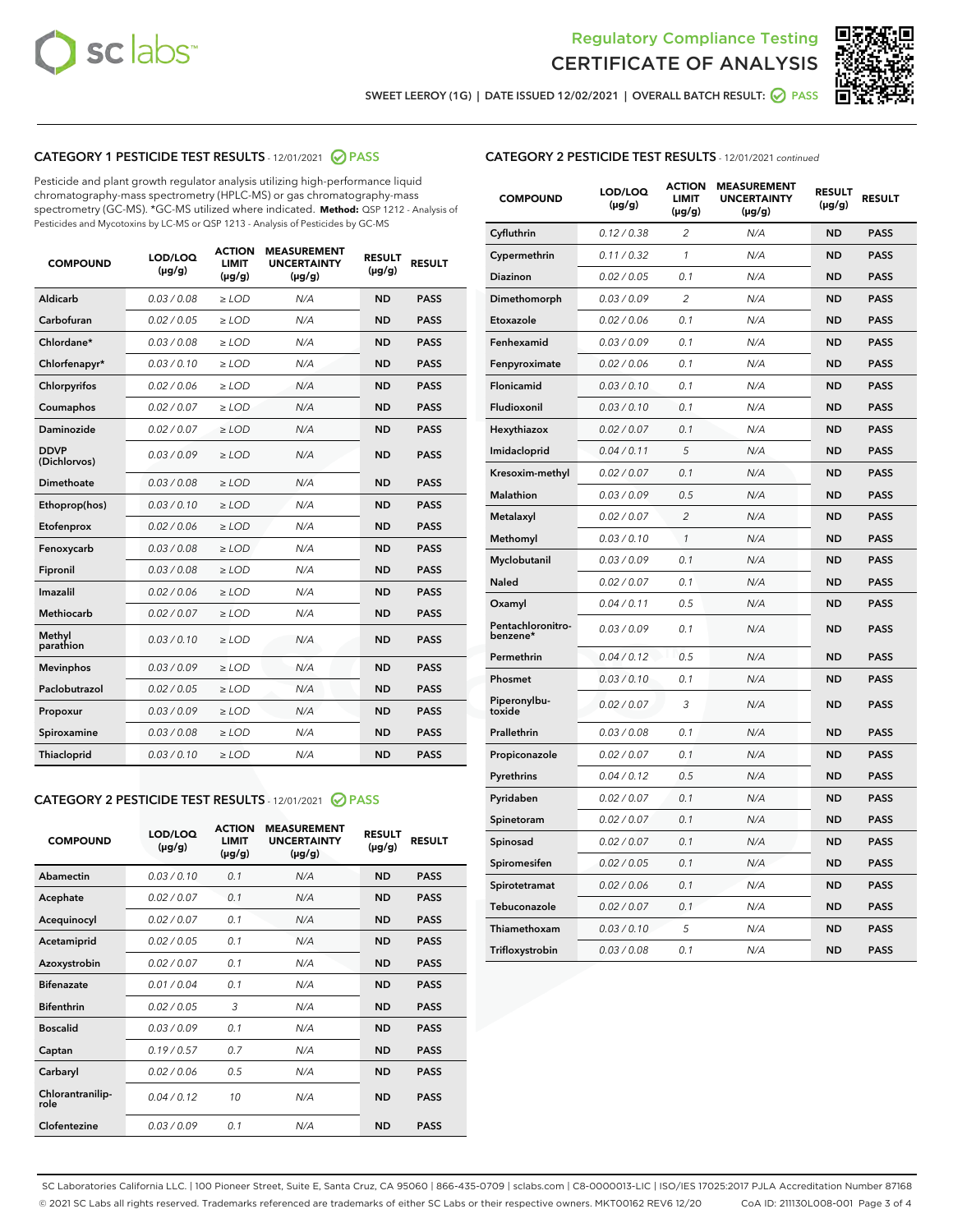



SWEET LEEROY (1G) | DATE ISSUED 12/02/2021 | OVERALL BATCH RESULT:  $\bigotimes$  PASS

## CATEGORY 1 PESTICIDE TEST RESULTS - 12/01/2021 2 PASS

Pesticide and plant growth regulator analysis utilizing high-performance liquid chromatography-mass spectrometry (HPLC-MS) or gas chromatography-mass spectrometry (GC-MS). \*GC-MS utilized where indicated. **Method:** QSP 1212 - Analysis of Pesticides and Mycotoxins by LC-MS or QSP 1213 - Analysis of Pesticides by GC-MS

| <b>Aldicarb</b><br>0.03 / 0.08<br><b>ND</b><br>$\ge$ LOD<br>N/A<br><b>PASS</b><br>Carbofuran<br>0.02/0.05<br>$\ge$ LOD<br>N/A<br><b>ND</b><br><b>PASS</b><br>Chlordane*<br>0.03 / 0.08<br><b>ND</b><br>$>$ LOD<br>N/A<br><b>PASS</b><br>0.03/0.10<br><b>ND</b><br><b>PASS</b><br>Chlorfenapyr*<br>$\ge$ LOD<br>N/A<br>0.02 / 0.06<br>N/A<br><b>ND</b><br><b>PASS</b><br>Chlorpyrifos<br>$\ge$ LOD<br>0.02 / 0.07<br>N/A<br><b>ND</b><br><b>PASS</b><br>Coumaphos<br>$>$ LOD<br>Daminozide<br>0.02 / 0.07<br>$\ge$ LOD<br>N/A<br><b>ND</b><br><b>PASS</b><br><b>DDVP</b><br>0.03/0.09<br>$\ge$ LOD<br>N/A<br><b>ND</b><br><b>PASS</b><br>(Dichlorvos)<br>Dimethoate<br><b>ND</b><br><b>PASS</b><br>0.03 / 0.08<br>$>$ LOD<br>N/A<br>Ethoprop(hos)<br>0.03/0.10<br>$\ge$ LOD<br>N/A<br><b>ND</b><br><b>PASS</b><br>0.02/0.06<br>$\ge$ LOD<br>N/A<br><b>ND</b><br><b>PASS</b><br>Etofenprox<br>Fenoxycarb<br>0.03 / 0.08<br>$>$ LOD<br>N/A<br><b>ND</b><br><b>PASS</b><br>0.03 / 0.08<br><b>ND</b><br><b>PASS</b><br>Fipronil<br>$\ge$ LOD<br>N/A<br>Imazalil<br>0.02 / 0.06<br>$>$ LOD<br>N/A<br><b>ND</b><br><b>PASS</b><br>0.02 / 0.07<br>Methiocarb<br>N/A<br><b>ND</b><br>$>$ LOD<br><b>PASS</b><br>Methyl<br>0.03/0.10<br>$\ge$ LOD<br>N/A<br><b>ND</b><br><b>PASS</b><br>parathion<br>0.03/0.09<br>$\ge$ LOD<br>N/A<br><b>ND</b><br><b>PASS</b><br><b>Mevinphos</b><br>Paclobutrazol<br>0.02 / 0.05<br>$\ge$ LOD<br>N/A<br><b>ND</b><br><b>PASS</b><br>0.03/0.09<br>N/A<br>$\ge$ LOD<br><b>ND</b><br><b>PASS</b><br>Propoxur<br>0.03 / 0.08<br><b>ND</b><br><b>PASS</b><br>Spiroxamine<br>$\ge$ LOD<br>N/A<br><b>PASS</b><br>Thiacloprid<br>0.03/0.10<br>$\ge$ LOD<br>N/A<br><b>ND</b> | <b>COMPOUND</b> | LOD/LOQ<br>$(\mu g/g)$ | <b>ACTION</b><br>LIMIT<br>$(\mu g/g)$ | <b>MEASUREMENT</b><br><b>UNCERTAINTY</b><br>$(\mu g/g)$ | <b>RESULT</b><br>$(\mu g/g)$ | <b>RESULT</b> |
|--------------------------------------------------------------------------------------------------------------------------------------------------------------------------------------------------------------------------------------------------------------------------------------------------------------------------------------------------------------------------------------------------------------------------------------------------------------------------------------------------------------------------------------------------------------------------------------------------------------------------------------------------------------------------------------------------------------------------------------------------------------------------------------------------------------------------------------------------------------------------------------------------------------------------------------------------------------------------------------------------------------------------------------------------------------------------------------------------------------------------------------------------------------------------------------------------------------------------------------------------------------------------------------------------------------------------------------------------------------------------------------------------------------------------------------------------------------------------------------------------------------------------------------------------------------------------------------------------------------------------------------------------------------------------------------------|-----------------|------------------------|---------------------------------------|---------------------------------------------------------|------------------------------|---------------|
|                                                                                                                                                                                                                                                                                                                                                                                                                                                                                                                                                                                                                                                                                                                                                                                                                                                                                                                                                                                                                                                                                                                                                                                                                                                                                                                                                                                                                                                                                                                                                                                                                                                                                            |                 |                        |                                       |                                                         |                              |               |
|                                                                                                                                                                                                                                                                                                                                                                                                                                                                                                                                                                                                                                                                                                                                                                                                                                                                                                                                                                                                                                                                                                                                                                                                                                                                                                                                                                                                                                                                                                                                                                                                                                                                                            |                 |                        |                                       |                                                         |                              |               |
|                                                                                                                                                                                                                                                                                                                                                                                                                                                                                                                                                                                                                                                                                                                                                                                                                                                                                                                                                                                                                                                                                                                                                                                                                                                                                                                                                                                                                                                                                                                                                                                                                                                                                            |                 |                        |                                       |                                                         |                              |               |
|                                                                                                                                                                                                                                                                                                                                                                                                                                                                                                                                                                                                                                                                                                                                                                                                                                                                                                                                                                                                                                                                                                                                                                                                                                                                                                                                                                                                                                                                                                                                                                                                                                                                                            |                 |                        |                                       |                                                         |                              |               |
|                                                                                                                                                                                                                                                                                                                                                                                                                                                                                                                                                                                                                                                                                                                                                                                                                                                                                                                                                                                                                                                                                                                                                                                                                                                                                                                                                                                                                                                                                                                                                                                                                                                                                            |                 |                        |                                       |                                                         |                              |               |
|                                                                                                                                                                                                                                                                                                                                                                                                                                                                                                                                                                                                                                                                                                                                                                                                                                                                                                                                                                                                                                                                                                                                                                                                                                                                                                                                                                                                                                                                                                                                                                                                                                                                                            |                 |                        |                                       |                                                         |                              |               |
|                                                                                                                                                                                                                                                                                                                                                                                                                                                                                                                                                                                                                                                                                                                                                                                                                                                                                                                                                                                                                                                                                                                                                                                                                                                                                                                                                                                                                                                                                                                                                                                                                                                                                            |                 |                        |                                       |                                                         |                              |               |
|                                                                                                                                                                                                                                                                                                                                                                                                                                                                                                                                                                                                                                                                                                                                                                                                                                                                                                                                                                                                                                                                                                                                                                                                                                                                                                                                                                                                                                                                                                                                                                                                                                                                                            |                 |                        |                                       |                                                         |                              |               |
|                                                                                                                                                                                                                                                                                                                                                                                                                                                                                                                                                                                                                                                                                                                                                                                                                                                                                                                                                                                                                                                                                                                                                                                                                                                                                                                                                                                                                                                                                                                                                                                                                                                                                            |                 |                        |                                       |                                                         |                              |               |
|                                                                                                                                                                                                                                                                                                                                                                                                                                                                                                                                                                                                                                                                                                                                                                                                                                                                                                                                                                                                                                                                                                                                                                                                                                                                                                                                                                                                                                                                                                                                                                                                                                                                                            |                 |                        |                                       |                                                         |                              |               |
|                                                                                                                                                                                                                                                                                                                                                                                                                                                                                                                                                                                                                                                                                                                                                                                                                                                                                                                                                                                                                                                                                                                                                                                                                                                                                                                                                                                                                                                                                                                                                                                                                                                                                            |                 |                        |                                       |                                                         |                              |               |
|                                                                                                                                                                                                                                                                                                                                                                                                                                                                                                                                                                                                                                                                                                                                                                                                                                                                                                                                                                                                                                                                                                                                                                                                                                                                                                                                                                                                                                                                                                                                                                                                                                                                                            |                 |                        |                                       |                                                         |                              |               |
|                                                                                                                                                                                                                                                                                                                                                                                                                                                                                                                                                                                                                                                                                                                                                                                                                                                                                                                                                                                                                                                                                                                                                                                                                                                                                                                                                                                                                                                                                                                                                                                                                                                                                            |                 |                        |                                       |                                                         |                              |               |
|                                                                                                                                                                                                                                                                                                                                                                                                                                                                                                                                                                                                                                                                                                                                                                                                                                                                                                                                                                                                                                                                                                                                                                                                                                                                                                                                                                                                                                                                                                                                                                                                                                                                                            |                 |                        |                                       |                                                         |                              |               |
|                                                                                                                                                                                                                                                                                                                                                                                                                                                                                                                                                                                                                                                                                                                                                                                                                                                                                                                                                                                                                                                                                                                                                                                                                                                                                                                                                                                                                                                                                                                                                                                                                                                                                            |                 |                        |                                       |                                                         |                              |               |
|                                                                                                                                                                                                                                                                                                                                                                                                                                                                                                                                                                                                                                                                                                                                                                                                                                                                                                                                                                                                                                                                                                                                                                                                                                                                                                                                                                                                                                                                                                                                                                                                                                                                                            |                 |                        |                                       |                                                         |                              |               |
|                                                                                                                                                                                                                                                                                                                                                                                                                                                                                                                                                                                                                                                                                                                                                                                                                                                                                                                                                                                                                                                                                                                                                                                                                                                                                                                                                                                                                                                                                                                                                                                                                                                                                            |                 |                        |                                       |                                                         |                              |               |
|                                                                                                                                                                                                                                                                                                                                                                                                                                                                                                                                                                                                                                                                                                                                                                                                                                                                                                                                                                                                                                                                                                                                                                                                                                                                                                                                                                                                                                                                                                                                                                                                                                                                                            |                 |                        |                                       |                                                         |                              |               |
|                                                                                                                                                                                                                                                                                                                                                                                                                                                                                                                                                                                                                                                                                                                                                                                                                                                                                                                                                                                                                                                                                                                                                                                                                                                                                                                                                                                                                                                                                                                                                                                                                                                                                            |                 |                        |                                       |                                                         |                              |               |
|                                                                                                                                                                                                                                                                                                                                                                                                                                                                                                                                                                                                                                                                                                                                                                                                                                                                                                                                                                                                                                                                                                                                                                                                                                                                                                                                                                                                                                                                                                                                                                                                                                                                                            |                 |                        |                                       |                                                         |                              |               |
|                                                                                                                                                                                                                                                                                                                                                                                                                                                                                                                                                                                                                                                                                                                                                                                                                                                                                                                                                                                                                                                                                                                                                                                                                                                                                                                                                                                                                                                                                                                                                                                                                                                                                            |                 |                        |                                       |                                                         |                              |               |

#### CATEGORY 2 PESTICIDE TEST RESULTS - 12/01/2021 @ PASS

| <b>COMPOUND</b>          | LOD/LOQ<br>$(\mu g/g)$ | <b>ACTION</b><br><b>LIMIT</b><br>$(\mu g/g)$ | <b>MEASUREMENT</b><br><b>UNCERTAINTY</b><br>$(\mu g/g)$ | <b>RESULT</b><br>$(\mu g/g)$ | <b>RESULT</b> |
|--------------------------|------------------------|----------------------------------------------|---------------------------------------------------------|------------------------------|---------------|
| Abamectin                | 0.03/0.10              | 0.1                                          | N/A                                                     | <b>ND</b>                    | <b>PASS</b>   |
| Acephate                 | 0.02/0.07              | 0.1                                          | N/A                                                     | <b>ND</b>                    | <b>PASS</b>   |
| Acequinocyl              | 0.02/0.07              | 0.1                                          | N/A                                                     | <b>ND</b>                    | <b>PASS</b>   |
| Acetamiprid              | 0.02/0.05              | 0.1                                          | N/A                                                     | <b>ND</b>                    | <b>PASS</b>   |
| Azoxystrobin             | 0 02 / 0 07            | 0.1                                          | N/A                                                     | <b>ND</b>                    | <b>PASS</b>   |
| <b>Bifenazate</b>        | 0.01/0.04              | 0.1                                          | N/A                                                     | <b>ND</b>                    | <b>PASS</b>   |
| <b>Bifenthrin</b>        | 0.02/0.05              | 3                                            | N/A                                                     | <b>ND</b>                    | <b>PASS</b>   |
| <b>Boscalid</b>          | 0.03/0.09              | 0.1                                          | N/A                                                     | <b>ND</b>                    | <b>PASS</b>   |
| Captan                   | 0.19/0.57              | 0.7                                          | N/A                                                     | <b>ND</b>                    | <b>PASS</b>   |
| Carbaryl                 | 0.02/0.06              | 0.5                                          | N/A                                                     | <b>ND</b>                    | <b>PASS</b>   |
| Chlorantranilip-<br>role | 0.04/0.12              | 10                                           | N/A                                                     | <b>ND</b>                    | <b>PASS</b>   |
| Clofentezine             | 0.03/0.09              | 0.1                                          | N/A                                                     | <b>ND</b>                    | <b>PASS</b>   |

### CATEGORY 2 PESTICIDE TEST RESULTS - 12/01/2021 continued

| <b>COMPOUND</b>               | LOD/LOQ<br>(µg/g) | <b>ACTION</b><br><b>LIMIT</b><br>$(\mu g/g)$ | <b>MEASUREMENT</b><br><b>UNCERTAINTY</b><br>(µg/g) | <b>RESULT</b><br>(µg/g) | <b>RESULT</b> |
|-------------------------------|-------------------|----------------------------------------------|----------------------------------------------------|-------------------------|---------------|
| Cyfluthrin                    | 0.12 / 0.38       | $\overline{c}$                               | N/A                                                | ND                      | <b>PASS</b>   |
| Cypermethrin                  | 0.11 / 0.32       | $\mathcal{I}$                                | N/A                                                | ND                      | <b>PASS</b>   |
| Diazinon                      | 0.02 / 0.05       | 0.1                                          | N/A                                                | <b>ND</b>               | <b>PASS</b>   |
| Dimethomorph                  | 0.03 / 0.09       | 2                                            | N/A                                                | ND                      | <b>PASS</b>   |
| Etoxazole                     | 0.02 / 0.06       | 0.1                                          | N/A                                                | ND                      | <b>PASS</b>   |
| Fenhexamid                    | 0.03 / 0.09       | 0.1                                          | N/A                                                | <b>ND</b>               | <b>PASS</b>   |
| Fenpyroximate                 | 0.02 / 0.06       | 0.1                                          | N/A                                                | ND                      | <b>PASS</b>   |
| Flonicamid                    | 0.03 / 0.10       | 0.1                                          | N/A                                                | ND                      | <b>PASS</b>   |
| Fludioxonil                   | 0.03 / 0.10       | 0.1                                          | N/A                                                | <b>ND</b>               | <b>PASS</b>   |
| Hexythiazox                   | 0.02 / 0.07       | 0.1                                          | N/A                                                | ND                      | <b>PASS</b>   |
| Imidacloprid                  | 0.04 / 0.11       | 5                                            | N/A                                                | ND                      | <b>PASS</b>   |
| Kresoxim-methyl               | 0.02 / 0.07       | 0.1                                          | N/A                                                | <b>ND</b>               | <b>PASS</b>   |
| Malathion                     | 0.03 / 0.09       | 0.5                                          | N/A                                                | ND                      | <b>PASS</b>   |
| Metalaxyl                     | 0.02 / 0.07       | $\overline{c}$                               | N/A                                                | ND                      | <b>PASS</b>   |
| Methomyl                      | 0.03 / 0.10       | $\mathbf{1}$                                 | N/A                                                | <b>ND</b>               | <b>PASS</b>   |
| Myclobutanil                  | 0.03 / 0.09       | 0.1                                          | N/A                                                | ND                      | <b>PASS</b>   |
| Naled                         | 0.02 / 0.07       | 0.1                                          | N/A                                                | ND                      | <b>PASS</b>   |
| Oxamyl                        | 0.04 / 0.11       | 0.5                                          | N/A                                                | ND                      | <b>PASS</b>   |
| Pentachloronitro-<br>benzene* | 0.03 / 0.09       | 0.1                                          | N/A                                                | ND                      | <b>PASS</b>   |
| Permethrin                    | 0.04 / 0.12       | 0.5                                          | N/A                                                | <b>ND</b>               | <b>PASS</b>   |
| Phosmet                       | 0.03 / 0.10       | 0.1                                          | N/A                                                | ND                      | <b>PASS</b>   |
| Piperonylbu-<br>toxide        | 0.02 / 0.07       | 3                                            | N/A                                                | ND                      | <b>PASS</b>   |
| Prallethrin                   | 0.03 / 0.08       | 0.1                                          | N/A                                                | ND                      | <b>PASS</b>   |
| Propiconazole                 | 0.02 / 0.07       | 0.1                                          | N/A                                                | ND                      | <b>PASS</b>   |
| Pyrethrins                    | 0.04 / 0.12       | 0.5                                          | N/A                                                | <b>ND</b>               | <b>PASS</b>   |
| Pyridaben                     | 0.02 / 0.07       | 0.1                                          | N/A                                                | ND                      | <b>PASS</b>   |
| Spinetoram                    | 0.02 / 0.07       | 0.1                                          | N/A                                                | ND                      | PASS          |
| Spinosad                      | 0.02 / 0.07       | 0.1                                          | N/A                                                | <b>ND</b>               | <b>PASS</b>   |
| Spiromesifen                  | 0.02 / 0.05       | 0.1                                          | N/A                                                | ND                      | <b>PASS</b>   |
| Spirotetramat                 | 0.02 / 0.06       | 0.1                                          | N/A                                                | ND                      | <b>PASS</b>   |
| Tebuconazole                  | 0.02 / 0.07       | 0.1                                          | N/A                                                | ND                      | <b>PASS</b>   |
| Thiamethoxam                  | 0.03 / 0.10       | 5                                            | N/A                                                | ND                      | <b>PASS</b>   |
| Trifloxystrobin               | 0.03 / 0.08       | 0.1                                          | N/A                                                | <b>ND</b>               | <b>PASS</b>   |

SC Laboratories California LLC. | 100 Pioneer Street, Suite E, Santa Cruz, CA 95060 | 866-435-0709 | sclabs.com | C8-0000013-LIC | ISO/IES 17025:2017 PJLA Accreditation Number 87168 © 2021 SC Labs all rights reserved. Trademarks referenced are trademarks of either SC Labs or their respective owners. MKT00162 REV6 12/20 CoA ID: 211130L008-001 Page 3 of 4